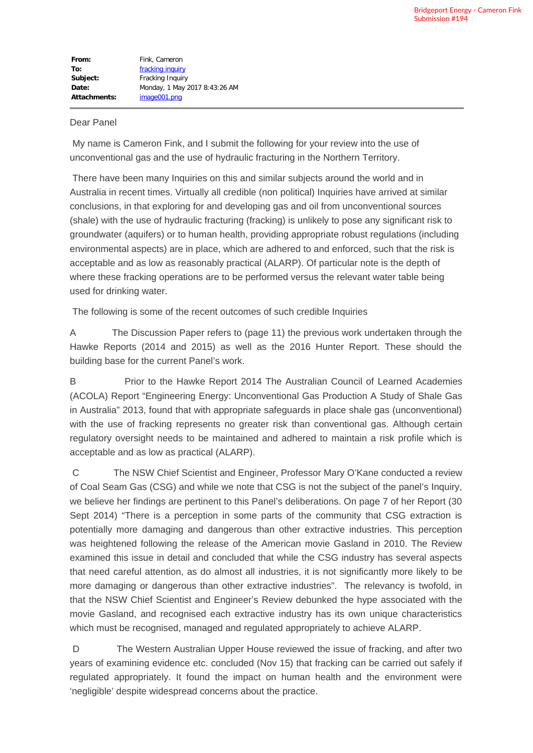## Dear Panel

My name is Cameron Fink, and I submit the following for your review into the use of unconventional gas and the use of hydraulic fracturing in the Northern Territory.

There have been many Inquiries on this and similar subjects around the world and in Australia in recent times. Virtually all credible (non political) Inquiries have arrived at similar conclusions, in that exploring for and developing gas and oil from unconventional sources (shale) with the use of hydraulic fracturing (fracking) is unlikely to pose any significant risk to groundwater (aquifers) or to human health, providing appropriate robust regulations (including environmental aspects) are in place, which are adhered to and enforced, such that the risk is acceptable and as low as reasonably practical (ALARP). Of particular note is the depth of where these fracking operations are to be performed versus the relevant water table being used for drinking water.

The following is some of the recent outcomes of such credible Inquiries

A The Discussion Paper refers to (page 11) the previous work undertaken through the Hawke Reports (2014 and 2015) as well as the 2016 Hunter Report. These should the building base for the current Panel's work.

B Prior to the Hawke Report 2014 The Australian Council of Learned Academies (ACOLA) Report "Engineering Energy: Unconventional Gas Production A Study of Shale Gas in Australia" 2013, found that with appropriate safeguards in place shale gas (unconventional) with the use of fracking represents no greater risk than conventional gas. Although certain regulatory oversight needs to be maintained and adhered to maintain a risk profile which is acceptable and as low as practical (ALARP).

C The NSW Chief Scientist and Engineer, Professor Mary O'Kane conducted a review of Coal Seam Gas (CSG) and while we note that CSG is not the subject of the panel's Inquiry, we believe her findings are pertinent to this Panel's deliberations. On page 7 of her Report (30 Sept 2014) "There is a perception in some parts of the community that CSG extraction is potentially more damaging and dangerous than other extractive industries. This perception was heightened following the release of the American movie Gasland in 2010. The Review examined this issue in detail and concluded that while the CSG industry has several aspects that need careful attention, as do almost all industries, it is not significantly more likely to be more damaging or dangerous than other extractive industries". The relevancy is twofold, in that the NSW Chief Scientist and Engineer's Review debunked the hype associated with the movie Gasland, and recognised each extractive industry has its own unique characteristics which must be recognised, managed and regulated appropriately to achieve ALARP.

D The Western Australian Upper House reviewed the issue of fracking, and after two years of examining evidence etc. concluded (Nov 15) that fracking can be carried out safely if regulated appropriately. It found the impact on human health and the environment were 'negligible' despite widespread concerns about the practice.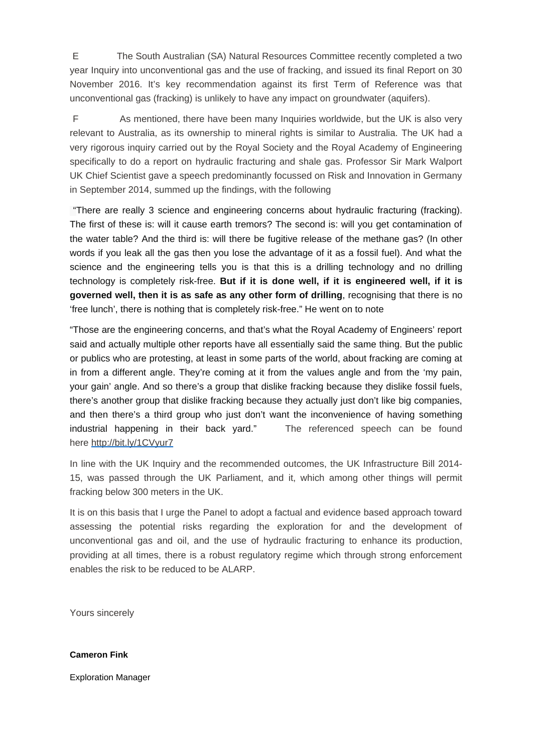E The South Australian (SA) Natural Resources Committee recently completed a two year Inquiry into unconventional gas and the use of fracking, and issued its final Report on 30 November 2016. It's key recommendation against its first Term of Reference was that unconventional gas (fracking) is unlikely to have any impact on groundwater (aquifers).

F As mentioned, there have been many Inquiries worldwide, but the UK is also very relevant to Australia, as its ownership to mineral rights is similar to Australia. The UK had a very rigorous inquiry carried out by the Royal Society and the Royal Academy of Engineering specifically to do a report on hydraulic fracturing and shale gas. Professor Sir Mark Walport UK Chief Scientist gave a speech predominantly focussed on Risk and Innovation in Germany in September 2014, summed up the findings, with the following

"There are really 3 science and engineering concerns about hydraulic fracturing (fracking). The first of these is: will it cause earth tremors? The second is: will you get contamination of the water table? And the third is: will there be fugitive release of the methane gas? (In other words if you leak all the gas then you lose the advantage of it as a fossil fuel). And what the science and the engineering tells you is that this is a drilling technology and no drilling technology is completely risk-free. **But if it is done well, if it is engineered well, if it is governed well, then it is as safe as any other form of drilling**, recognising that there is no 'free lunch', there is nothing that is completely risk-free." He went on to note

"Those are the engineering concerns, and that's what the Royal Academy of Engineers' report said and actually multiple other reports have all essentially said the same thing. But the public or publics who are protesting, at least in some parts of the world, about fracking are coming at in from a different angle. They're coming at it from the values angle and from the 'my pain, your gain' angle. And so there's a group that dislike fracking because they dislike fossil fuels, there's another group that dislike fracking because they actually just don't like big companies, and then there's a third group who just don't want the inconvenience of having something industrial happening in their back yard." The referenced speech can be found here http://bit.ly/1CVyur7

In line with the UK Inquiry and the recommended outcomes, the UK Infrastructure Bill 2014- 15, was passed through the UK Parliament, and it, which among other things will permit fracking below 300 meters in the UK.

It is on this basis that I urge the Panel to adopt a factual and evidence based approach toward assessing the potential risks regarding the exploration for and the development of unconventional gas and oil, and the use of hydraulic fracturing to enhance its production, providing at all times, there is a robust regulatory regime which through strong enforcement enables the risk to be reduced to be ALARP.

Yours sincerely

## **Cameron Fink**

Exploration Manager